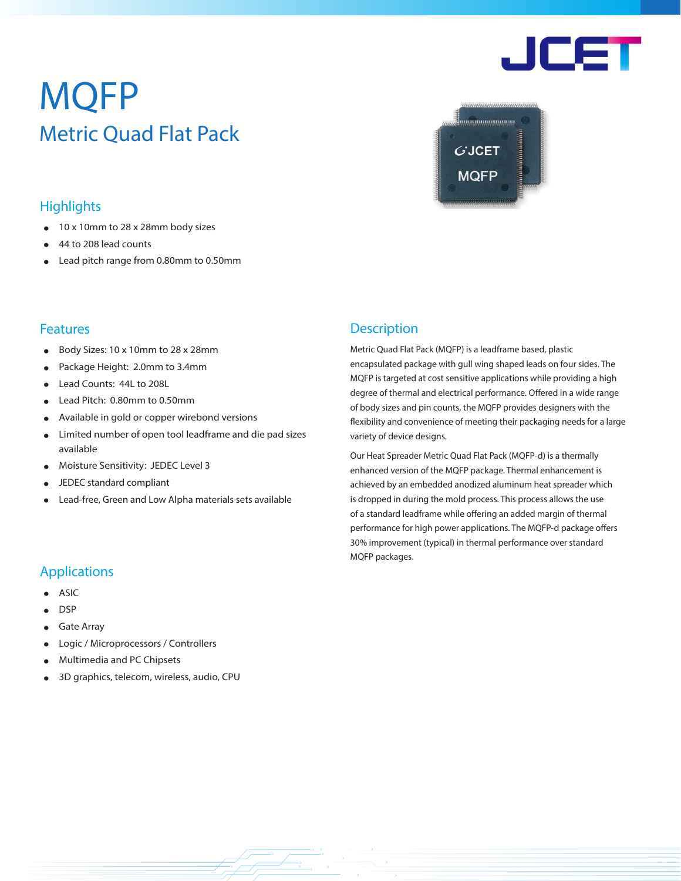# MQFP Metric Quad Flat Pack

# **Highlights**

- 10 x 10mm to 28 x 28mm body sizes
- 44 to 208 lead counts
- Lead pitch range from 0.80mm to 0.50mm

### **Features**

- Body Sizes: 10 x 10mm to 28 x 28mm
- Package Height: 2.0mm to 3.4mm
- Lead Counts: 44L to 208L
- Lead Pitch: 0.80mm to 0.50mm
- Available in gold or copper wirebond versions
- Limited number of open tool leadframe and die pad sizes available
- Moisture Sensitivity: JEDEC Level 3
- JEDEC standard compliant
- Lead-free, Green and Low Alpha materials sets available

## **Description**

Metric Quad Flat Pack (MQFP) is a leadframe based, plastic encapsulated package with gull wing shaped leads on four sides. The MQFP is targeted at cost sensitive applications while providing a high degree of thermal and electrical performance. Offered in a wide range of body sizes and pin counts, the MQFP provides designers with the flexibility and convenience of meeting their packaging needs for a large variety of device designs.

<u> Alban alaman an</u>

 $G$ JCET

**MQFP** 

Our Heat Spreader Metric Quad Flat Pack (MQFP-d) is a thermally enhanced version of the MQFP package. Thermal enhancement is achieved by an embedded anodized aluminum heat spreader which is dropped in during the mold process. This process allows the use of a standard leadframe while offering an added margin of thermal performance for high power applications. The MQFP-d package offers 30% improvement (typical) in thermal performance over standard MQFP packages.

# Applications

- **ASIC**
- DSP
- **Gate Array**
- Logic / Microprocessors / Controllers
- Multimedia and PC Chipsets
- 3D graphics, telecom, wireless, audio, CPU